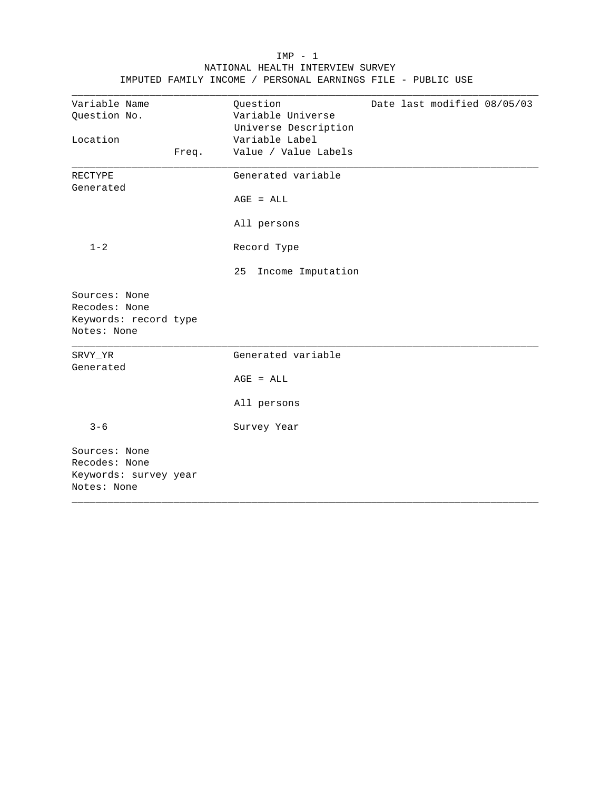|                                                                        |       | IMPUTED FAMILY INCOME / PERSONAL EARNINGS FILE - PUBLIC USE |  |                             |  |
|------------------------------------------------------------------------|-------|-------------------------------------------------------------|--|-----------------------------|--|
| Variable Name<br>Question No.                                          |       | Question<br>Variable Universe<br>Universe Description       |  | Date last modified 08/05/03 |  |
| Location                                                               | Freq. | Variable Label<br>Value / Value Labels                      |  |                             |  |
| <b>RECTYPE</b><br>Generated                                            |       | Generated variable                                          |  |                             |  |
|                                                                        |       | $AGE = ALL$                                                 |  |                             |  |
|                                                                        |       | All persons                                                 |  |                             |  |
| $1 - 2$                                                                |       | Record Type                                                 |  |                             |  |
|                                                                        |       | 25<br>Income Imputation                                     |  |                             |  |
| Sources: None<br>Recodes: None<br>Keywords: record type<br>Notes: None |       |                                                             |  |                             |  |
| SRVY_YR<br>Generated                                                   |       | Generated variable                                          |  |                             |  |
|                                                                        |       | $AGE = ALL$                                                 |  |                             |  |
|                                                                        |       | All persons                                                 |  |                             |  |
| $3 - 6$                                                                |       | Survey Year                                                 |  |                             |  |
| Sources: None<br>Recodes: None<br>Keywords: survey year<br>Notes: None |       |                                                             |  |                             |  |

 IMP - 1 NATIONAL HEALTH INTERVIEW SURVEY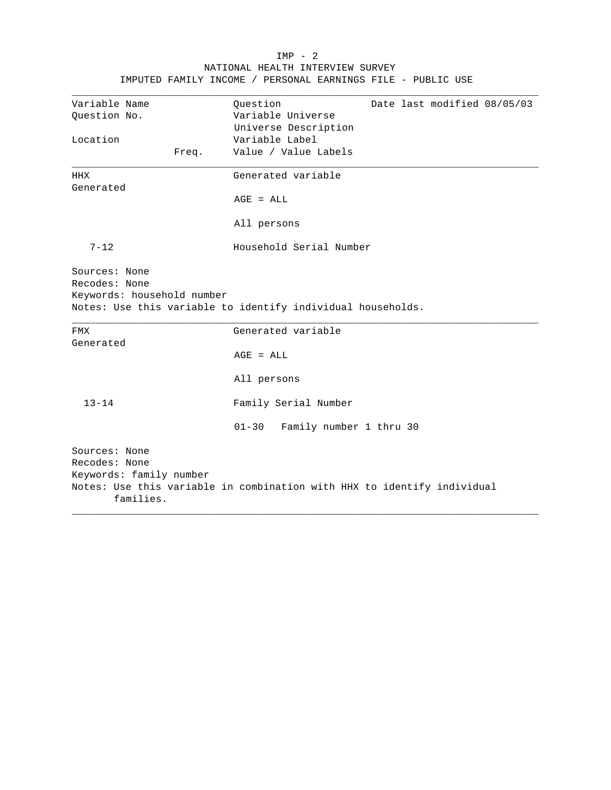|                                                              |       | IMPUTED FAMILY INCOME / PERSONAL EARNINGS FILE - PUBLIC USE                                                                    |
|--------------------------------------------------------------|-------|--------------------------------------------------------------------------------------------------------------------------------|
| Variable Name<br>Ouestion No.<br>Location                    | Freq. | Question<br>Date last modified 08/05/03<br>Variable Universe<br>Universe Description<br>Variable Label<br>Value / Value Labels |
|                                                              |       |                                                                                                                                |
| HHX<br>Generated                                             |       | Generated variable                                                                                                             |
|                                                              |       | $AGE = ALL$                                                                                                                    |
|                                                              |       | All persons                                                                                                                    |
| $7 - 12$                                                     |       | Household Serial Number                                                                                                        |
|                                                              |       |                                                                                                                                |
| Sources: None<br>Recodes: None<br>Keywords: household number |       | Notes: Use this variable to identify individual households.                                                                    |
| FMX                                                          |       | Generated variable                                                                                                             |
| Generated                                                    |       | $AGE = ALL$                                                                                                                    |
|                                                              |       | All persons                                                                                                                    |
| $13 - 14$                                                    |       | Family Serial Number                                                                                                           |
|                                                              |       | $01 - 30$<br>Family number 1 thru 30                                                                                           |

 IMP - 2 NATIONAL HEALTH INTERVIEW SURVEY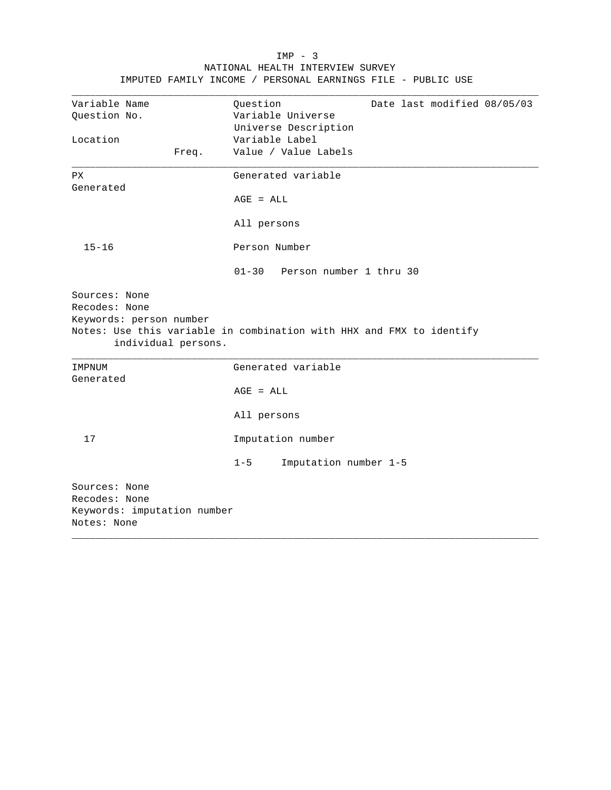| Variable Name                                  | Question<br>Date last modified 08/05/03                              |
|------------------------------------------------|----------------------------------------------------------------------|
| Ouestion No.                                   | Variable Universe                                                    |
|                                                | Universe Description                                                 |
| Location                                       | Variable Label                                                       |
| Freq.                                          | Value / Value Labels                                                 |
| <b>PX</b>                                      | Generated variable                                                   |
| Generated                                      |                                                                      |
|                                                | $AGE = ALL$                                                          |
|                                                | All persons                                                          |
| $15 - 16$                                      | Person Number                                                        |
|                                                | $01 - 30$<br>Person number 1 thru 30                                 |
| Sources: None<br>Recodes: None                 |                                                                      |
| Keywords: person number<br>individual persons. | Notes: Use this variable in combination with HHX and FMX to identify |
| IMPNUM                                         | Generated variable                                                   |
| Generated                                      | $AGE = ALL$                                                          |
|                                                | All persons                                                          |
| 17                                             | Imputation number                                                    |
|                                                | Imputation number 1-5<br>$1 - 5$                                     |

# $IMP - 3$ NATIONAL HEALTH INTERVIEW SURVEY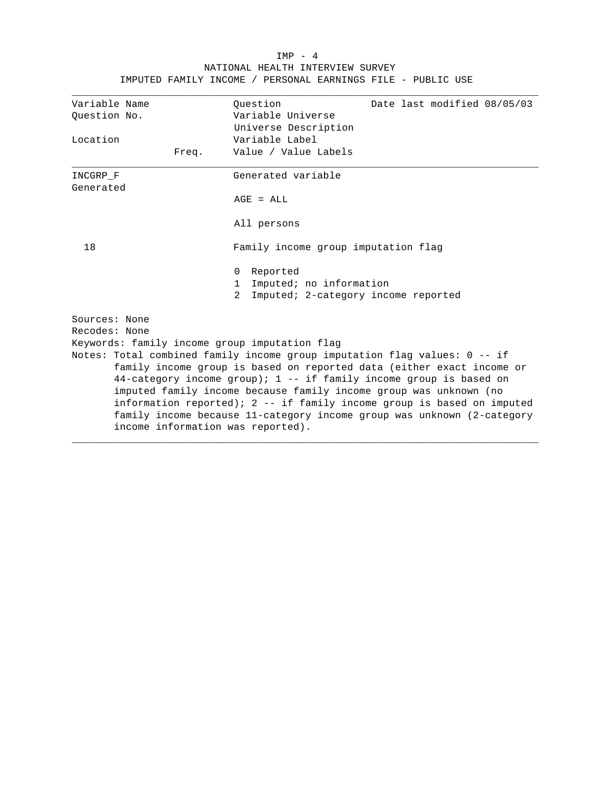|                                               | IMPUTED FAMILI INCOME / PERSONAL EARNINGS FILE - PUBLIC USE                                                                                        |  |  |  |  |
|-----------------------------------------------|----------------------------------------------------------------------------------------------------------------------------------------------------|--|--|--|--|
| Variable Name<br>Question No.                 | Ouestion<br>Date last modified 08/05/03<br>Variable Universe                                                                                       |  |  |  |  |
|                                               | Universe Description                                                                                                                               |  |  |  |  |
| Location                                      | Variable Label                                                                                                                                     |  |  |  |  |
| Freq.                                         | Value / Value Labels                                                                                                                               |  |  |  |  |
| INCGRP F<br>Generated                         | Generated variable                                                                                                                                 |  |  |  |  |
|                                               | $AGE = ALL$                                                                                                                                        |  |  |  |  |
|                                               | All persons                                                                                                                                        |  |  |  |  |
| 18                                            | Family income group imputation flag                                                                                                                |  |  |  |  |
|                                               | Reported<br>0                                                                                                                                      |  |  |  |  |
|                                               | Imputed; no information<br>$\mathbf{1}$                                                                                                            |  |  |  |  |
|                                               | 2<br>Imputed; 2-category income reported                                                                                                           |  |  |  |  |
| Sources: None                                 |                                                                                                                                                    |  |  |  |  |
| Recodes: None                                 |                                                                                                                                                    |  |  |  |  |
| Keywords: family income group imputation flag |                                                                                                                                                    |  |  |  |  |
|                                               | Notes: Total combined family income group imputation flag values: 0 -- if<br>family income group is based on reported data (either exact income or |  |  |  |  |
|                                               | 44-category income group); 1 -- if family income group is based on                                                                                 |  |  |  |  |
|                                               | imputed family income because family income group was unknown (no                                                                                  |  |  |  |  |
|                                               | information reported); 2 -- if family income group is based on imputed                                                                             |  |  |  |  |
|                                               | family income because 11-category income group was unknown (2-category                                                                             |  |  |  |  |
| income information was reported).             |                                                                                                                                                    |  |  |  |  |
|                                               |                                                                                                                                                    |  |  |  |  |

### IMP - 4 NATIONAL HEALTH INTERVIEW SURVEY IMPUTED FAMILY INCOME / PERSONAL EARNINGS FILE - PUBLIC USE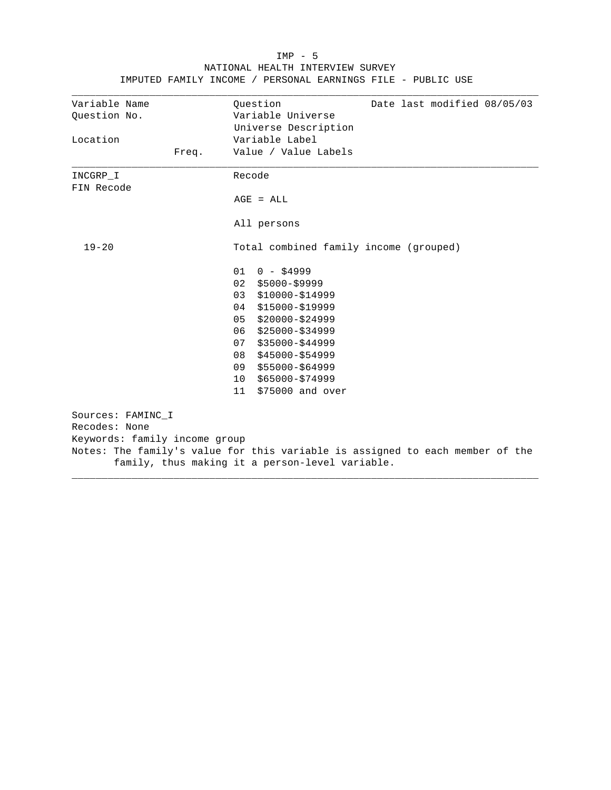| Ouestion No.<br>Location      | Variable Universe<br>Universe Description<br>Variable Label                   |
|-------------------------------|-------------------------------------------------------------------------------|
|                               |                                                                               |
|                               |                                                                               |
|                               |                                                                               |
| Freq.                         | Value / Value Labels                                                          |
| INCGRP I                      | Recode                                                                        |
| FIN Recode                    |                                                                               |
|                               | $AGE = ALL$                                                                   |
|                               | All persons                                                                   |
| $19 - 20$                     | Total combined family income (grouped)                                        |
|                               | 01<br>$0 - $4999$                                                             |
|                               | 02<br>$$5000-S9999$                                                           |
|                               | 03<br>$$10000 - $14999$                                                       |
|                               | \$15000-\$19999<br>04                                                         |
|                               | 05<br>$$20000 - $24999$                                                       |
|                               | 06<br>$$25000 - $34999$                                                       |
|                               | 07<br>$$35000 - $44999$                                                       |
|                               | 08<br>$$45000 - $54999$                                                       |
|                               | \$55000-\$64999<br>09                                                         |
|                               | \$65000-\$74999<br>10                                                         |
|                               | \$75000 and over<br>11                                                        |
| Sources: FAMINC_I             |                                                                               |
| Recodes: None                 |                                                                               |
| Keywords: family income group |                                                                               |
|                               | Notes: The family's value for this variable is assigned to each member of the |
|                               | family, thus making it a person-level variable.                               |

## IMP - 5 NATIONAL HEALTH INTERVIEW SURVEY IMPUTED FAMILY INCOME / PERSONAL EARNINGS FILE - PUBLIC USE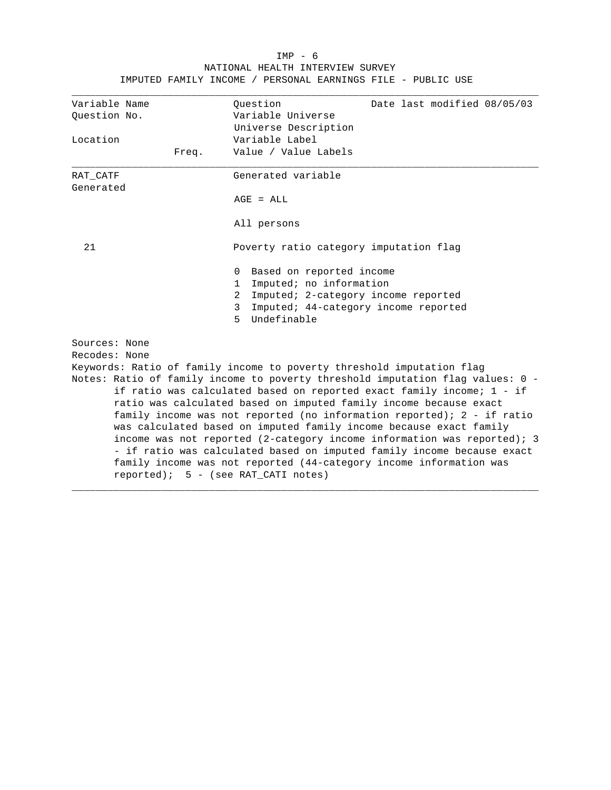| Variable Name<br>Ouestion<br>Date last modified 08/05/03<br>Variable Universe<br>Question No.<br>Universe Description<br>Variable Label<br>Location<br>Value / Value Labels<br>Freq.<br>Generated variable<br>RAT CATF<br>Generated<br>$AGE = ALL$<br>All persons<br>21<br>Poverty ratio category imputation flag<br>Based on reported income<br>0<br>Imputed; no information<br>$\mathbf{1}$<br>Imputed; 2-category income reported<br>2<br>3<br>Imputed; 44-category income reported<br>Undefinable<br>5<br>Sources: None<br>Recodes: None<br>Keywords: Ratio of family income to poverty threshold imputation flag |  |  |  |  |  |
|-----------------------------------------------------------------------------------------------------------------------------------------------------------------------------------------------------------------------------------------------------------------------------------------------------------------------------------------------------------------------------------------------------------------------------------------------------------------------------------------------------------------------------------------------------------------------------------------------------------------------|--|--|--|--|--|
|                                                                                                                                                                                                                                                                                                                                                                                                                                                                                                                                                                                                                       |  |  |  |  |  |
|                                                                                                                                                                                                                                                                                                                                                                                                                                                                                                                                                                                                                       |  |  |  |  |  |
|                                                                                                                                                                                                                                                                                                                                                                                                                                                                                                                                                                                                                       |  |  |  |  |  |
|                                                                                                                                                                                                                                                                                                                                                                                                                                                                                                                                                                                                                       |  |  |  |  |  |
|                                                                                                                                                                                                                                                                                                                                                                                                                                                                                                                                                                                                                       |  |  |  |  |  |
|                                                                                                                                                                                                                                                                                                                                                                                                                                                                                                                                                                                                                       |  |  |  |  |  |
|                                                                                                                                                                                                                                                                                                                                                                                                                                                                                                                                                                                                                       |  |  |  |  |  |
|                                                                                                                                                                                                                                                                                                                                                                                                                                                                                                                                                                                                                       |  |  |  |  |  |
|                                                                                                                                                                                                                                                                                                                                                                                                                                                                                                                                                                                                                       |  |  |  |  |  |
|                                                                                                                                                                                                                                                                                                                                                                                                                                                                                                                                                                                                                       |  |  |  |  |  |
|                                                                                                                                                                                                                                                                                                                                                                                                                                                                                                                                                                                                                       |  |  |  |  |  |
|                                                                                                                                                                                                                                                                                                                                                                                                                                                                                                                                                                                                                       |  |  |  |  |  |
|                                                                                                                                                                                                                                                                                                                                                                                                                                                                                                                                                                                                                       |  |  |  |  |  |
|                                                                                                                                                                                                                                                                                                                                                                                                                                                                                                                                                                                                                       |  |  |  |  |  |
|                                                                                                                                                                                                                                                                                                                                                                                                                                                                                                                                                                                                                       |  |  |  |  |  |
|                                                                                                                                                                                                                                                                                                                                                                                                                                                                                                                                                                                                                       |  |  |  |  |  |
|                                                                                                                                                                                                                                                                                                                                                                                                                                                                                                                                                                                                                       |  |  |  |  |  |
|                                                                                                                                                                                                                                                                                                                                                                                                                                                                                                                                                                                                                       |  |  |  |  |  |
| Notes: Ratio of family income to poverty threshold imputation flag values: 0 -                                                                                                                                                                                                                                                                                                                                                                                                                                                                                                                                        |  |  |  |  |  |
| if ratio was calculated based on reported exact family income; 1 - if                                                                                                                                                                                                                                                                                                                                                                                                                                                                                                                                                 |  |  |  |  |  |
| ratio was calculated based on imputed family income because exact                                                                                                                                                                                                                                                                                                                                                                                                                                                                                                                                                     |  |  |  |  |  |
| family income was not reported (no information reported); 2 - if ratio                                                                                                                                                                                                                                                                                                                                                                                                                                                                                                                                                |  |  |  |  |  |
| was calculated based on imputed family income because exact family                                                                                                                                                                                                                                                                                                                                                                                                                                                                                                                                                    |  |  |  |  |  |
| income was not reported (2-category income information was reported); 3                                                                                                                                                                                                                                                                                                                                                                                                                                                                                                                                               |  |  |  |  |  |
| - if ratio was calculated based on imputed family income because exact                                                                                                                                                                                                                                                                                                                                                                                                                                                                                                                                                |  |  |  |  |  |
| family income was not reported (44-category income information was                                                                                                                                                                                                                                                                                                                                                                                                                                                                                                                                                    |  |  |  |  |  |
| $reported)$ ; 5 - (see RAT CATI notes)                                                                                                                                                                                                                                                                                                                                                                                                                                                                                                                                                                                |  |  |  |  |  |

## IMP - 6 NATIONAL HEALTH INTERVIEW SURVEY IMPUTED FAMILY INCOME / PERSONAL EARNINGS FILE - PUBLIC USE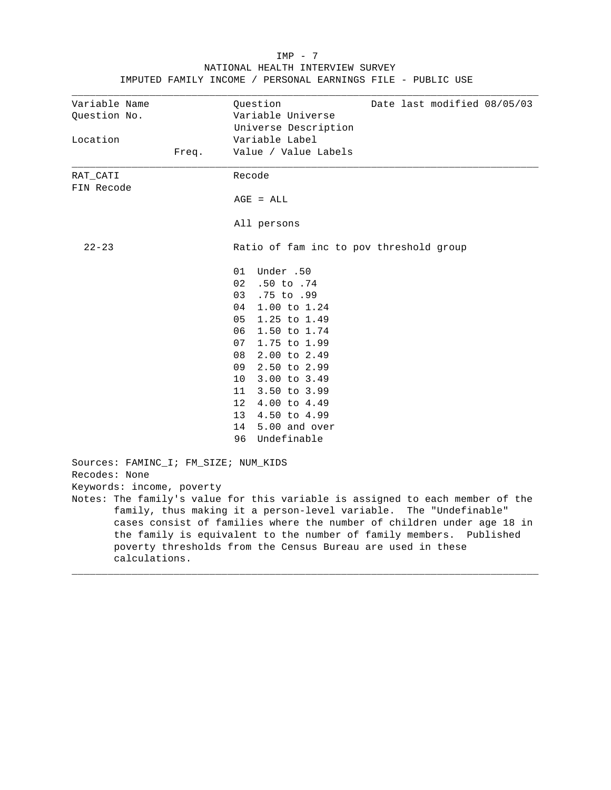|                                                       | TMPOIED FAMILLI INCOME / PERSONAL EARNINGS FILE - PUBLIC                                                                                                                                                                                                                                                                                                           |
|-------------------------------------------------------|--------------------------------------------------------------------------------------------------------------------------------------------------------------------------------------------------------------------------------------------------------------------------------------------------------------------------------------------------------------------|
| Variable Name<br>Question No.                         | Question<br>Date last modified 08/05/03<br>Variable Universe<br>Universe Description                                                                                                                                                                                                                                                                               |
| Location                                              | Variable Label                                                                                                                                                                                                                                                                                                                                                     |
| Freq.                                                 | Value / Value Labels                                                                                                                                                                                                                                                                                                                                               |
| RAT CATI                                              | Recode                                                                                                                                                                                                                                                                                                                                                             |
| FIN Recode                                            |                                                                                                                                                                                                                                                                                                                                                                    |
|                                                       | $AGE = ALL$                                                                                                                                                                                                                                                                                                                                                        |
|                                                       | All persons                                                                                                                                                                                                                                                                                                                                                        |
| $22 - 23$                                             | Ratio of fam inc to pov threshold group                                                                                                                                                                                                                                                                                                                            |
|                                                       | 01 Under .50                                                                                                                                                                                                                                                                                                                                                       |
|                                                       | 02 .50 to .74                                                                                                                                                                                                                                                                                                                                                      |
|                                                       | 03 .75 to .99                                                                                                                                                                                                                                                                                                                                                      |
|                                                       | 04 1.00 to 1.24                                                                                                                                                                                                                                                                                                                                                    |
|                                                       | 05<br>1.25 to 1.49                                                                                                                                                                                                                                                                                                                                                 |
|                                                       | 06<br>1.50 to 1.74                                                                                                                                                                                                                                                                                                                                                 |
|                                                       | 07<br>1.75 to 1.99                                                                                                                                                                                                                                                                                                                                                 |
|                                                       | 08<br>2.00 to 2.49                                                                                                                                                                                                                                                                                                                                                 |
|                                                       | 09 2.50 to 2.99                                                                                                                                                                                                                                                                                                                                                    |
|                                                       | 10 3.00 to 3.49                                                                                                                                                                                                                                                                                                                                                    |
|                                                       | 11 3.50 to 3.99                                                                                                                                                                                                                                                                                                                                                    |
|                                                       | 12 4.00 to 4.49                                                                                                                                                                                                                                                                                                                                                    |
|                                                       | 13 4.50 to 4.99                                                                                                                                                                                                                                                                                                                                                    |
|                                                       | 14 5.00 and over                                                                                                                                                                                                                                                                                                                                                   |
|                                                       | 96 Undefinable                                                                                                                                                                                                                                                                                                                                                     |
| Sources: FAMINC_I; FM_SIZE; NUM_KIDS<br>Recodes: None |                                                                                                                                                                                                                                                                                                                                                                    |
| Keywords: income, poverty                             |                                                                                                                                                                                                                                                                                                                                                                    |
|                                                       | Notes: The family's value for this variable is assigned to each member of the<br>family, thus making it a person-level variable. The "Undefinable"<br>cases consist of families where the number of children under age 18 in<br>the family is equivalent to the number of family members. Published<br>poverty thresholds from the Census Bureau are used in these |
| calculations.                                         |                                                                                                                                                                                                                                                                                                                                                                    |

#### IMP - 7 NATIONAL HEALTH INTERVIEW SURVEY IMPUTED FAMILY INCOME / PERSONAL EARNINGS FILE - PUBLIC USE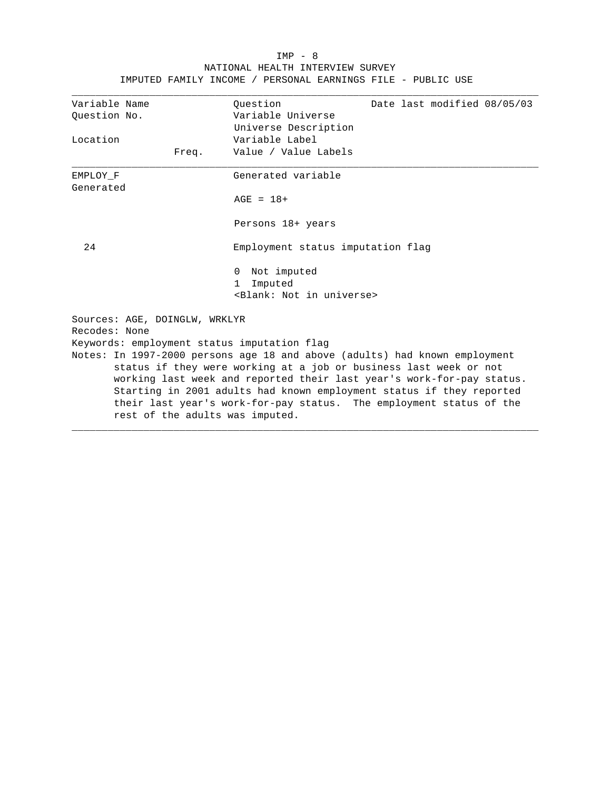| IMPUTED FAMILY INCOME / PERSONAL EARNINGS FILE - PUBLIC USE<br>Date last modified 08/05/03<br>Variable Name<br>Ouestion |
|-------------------------------------------------------------------------------------------------------------------------|
|                                                                                                                         |
|                                                                                                                         |
| Variable Universe<br>Ouestion No.                                                                                       |
| Universe Description                                                                                                    |
| Variable Label<br>Location                                                                                              |
| Value / Value Labels<br>Freq.                                                                                           |
| Generated variable<br>EMPLOY F<br>Generated                                                                             |
| $AGE = 18+$                                                                                                             |
| Persons 18+ years                                                                                                       |
| 24<br>Employment status imputation flag                                                                                 |
| Not imputed<br>$\Omega$                                                                                                 |
| Imputed<br>$\mathbf{1}$                                                                                                 |
| <blank: in="" not="" universe=""></blank:>                                                                              |
| Sources: AGE, DOINGLW, WRKLYR<br>Recodes: None                                                                          |
| Keywords: employment status imputation flag                                                                             |
| Notes: In 1997-2000 persons age 18 and above (adults) had known employment                                              |
| status if they were working at a job or business last week or not                                                       |
| working last week and reported their last year's work-for-pay status.                                                   |

Starting in 2001 adults had known employment status if they reported their last year's work-for-pay status. The employment status of the rest of the adults was imputed.

\_\_\_\_\_\_\_\_\_\_\_\_\_\_\_\_\_\_\_\_\_\_\_\_\_\_\_\_\_\_\_\_\_\_\_\_\_\_\_\_\_\_\_\_\_\_\_\_\_\_\_\_\_\_\_\_\_\_\_\_\_\_\_\_\_\_\_\_\_\_\_\_\_\_\_\_\_\_

# IMP - 8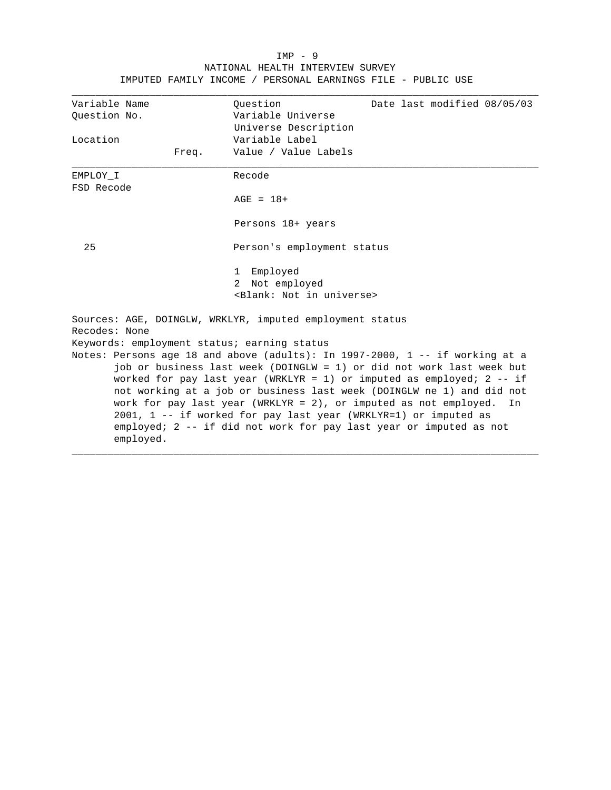# IMP - 9 NATIONAL HEALTH INTERVIEW SURVEY IMPUTED FAMILY INCOME / PERSONAL EARNINGS FILE - PUBLIC USE

| Variable Name                                                                                                                                                                                                                                                                                               |                                             | Ouestion                                                        | Date last modified 08/05/03                                                                                                               |  |  |  |  |
|-------------------------------------------------------------------------------------------------------------------------------------------------------------------------------------------------------------------------------------------------------------------------------------------------------------|---------------------------------------------|-----------------------------------------------------------------|-------------------------------------------------------------------------------------------------------------------------------------------|--|--|--|--|
| Ouestion No.                                                                                                                                                                                                                                                                                                |                                             | Variable Universe                                               |                                                                                                                                           |  |  |  |  |
|                                                                                                                                                                                                                                                                                                             |                                             | Universe Description                                            |                                                                                                                                           |  |  |  |  |
| Location                                                                                                                                                                                                                                                                                                    |                                             | Variable Label                                                  |                                                                                                                                           |  |  |  |  |
|                                                                                                                                                                                                                                                                                                             | Freq.                                       | Value / Value Labels                                            |                                                                                                                                           |  |  |  |  |
| EMPLOY I                                                                                                                                                                                                                                                                                                    |                                             | Recode                                                          |                                                                                                                                           |  |  |  |  |
| FSD Recode                                                                                                                                                                                                                                                                                                  |                                             |                                                                 |                                                                                                                                           |  |  |  |  |
|                                                                                                                                                                                                                                                                                                             |                                             | $AGE = 18+$                                                     |                                                                                                                                           |  |  |  |  |
|                                                                                                                                                                                                                                                                                                             |                                             | Persons 18+ years                                               |                                                                                                                                           |  |  |  |  |
| 25                                                                                                                                                                                                                                                                                                          |                                             | Person's employment status                                      |                                                                                                                                           |  |  |  |  |
|                                                                                                                                                                                                                                                                                                             |                                             | Employed<br>$\mathbf{1}$                                        |                                                                                                                                           |  |  |  |  |
|                                                                                                                                                                                                                                                                                                             |                                             | 2 Not employed                                                  |                                                                                                                                           |  |  |  |  |
|                                                                                                                                                                                                                                                                                                             |                                             | <blank: in="" not="" universe=""></blank:>                      |                                                                                                                                           |  |  |  |  |
|                                                                                                                                                                                                                                                                                                             |                                             | Sources: AGE, DOINGLW, WRKLYR, imputed employment status        |                                                                                                                                           |  |  |  |  |
| Recodes: None                                                                                                                                                                                                                                                                                               |                                             |                                                                 |                                                                                                                                           |  |  |  |  |
|                                                                                                                                                                                                                                                                                                             | Keywords: employment status; earning status |                                                                 |                                                                                                                                           |  |  |  |  |
| Notes: Persons age 18 and above (adults): In 1997-2000, 1 -- if working at a<br>job or business last week (DOINGLW = 1) or did not work last week but<br>worked for pay last year (WRKLYR = 1) or imputed as employed; $2 - - i f$<br>not working at a job or business last week (DOINGLW ne 1) and did not |                                             |                                                                 |                                                                                                                                           |  |  |  |  |
|                                                                                                                                                                                                                                                                                                             | employed.                                   | 2001, 1 -- if worked for pay last year (WRKLYR=1) or imputed as | work for pay last year (WRKLYR = 2), or imputed as not employed. In<br>employed; 2 -- if did not work for pay last year or imputed as not |  |  |  |  |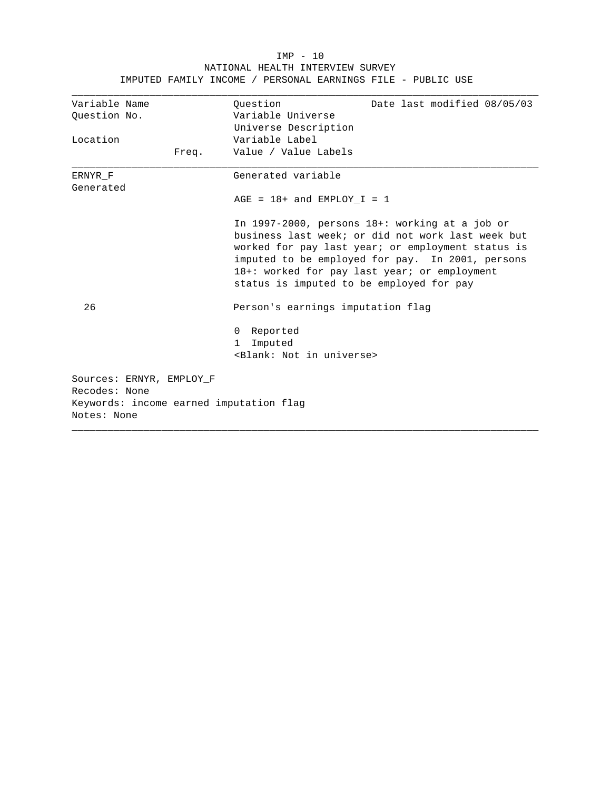|                              |                          |       | IMPUTED FAMILY INCOME / PERSONAL EARNINGS FILE - PUBLIC USE                                                                                                                                                                                                                                                |
|------------------------------|--------------------------|-------|------------------------------------------------------------------------------------------------------------------------------------------------------------------------------------------------------------------------------------------------------------------------------------------------------------|
| Variable Name                |                          |       | Ouestion<br>Date last modified 08/05/03                                                                                                                                                                                                                                                                    |
| Question No.                 |                          |       | Variable Universe                                                                                                                                                                                                                                                                                          |
|                              |                          |       | Universe Description                                                                                                                                                                                                                                                                                       |
| Location                     |                          |       | Variable Label                                                                                                                                                                                                                                                                                             |
|                              |                          | Freq. | Value / Value Labels                                                                                                                                                                                                                                                                                       |
| ERNYR F                      |                          |       | Generated variable                                                                                                                                                                                                                                                                                         |
| Generated                    |                          |       | $AGE = 18 + and EMPLOY_I = 1$                                                                                                                                                                                                                                                                              |
|                              |                          |       | In 1997-2000, persons $18+:$ working at a job or<br>business last week; or did not work last week but<br>worked for pay last year; or employment status is<br>imputed to be employed for pay. In 2001, persons<br>18+: worked for pay last year; or employment<br>status is imputed to be employed for pay |
| 26                           |                          |       | Person's earnings imputation flag                                                                                                                                                                                                                                                                          |
|                              |                          |       | Reported<br>0<br>Imputed<br>1<br><blank: in="" not="" universe=""></blank:>                                                                                                                                                                                                                                |
| Recodes: None<br>Notes: None | Sources: ERNYR, EMPLOY F |       | Keywords: income earned imputation flag                                                                                                                                                                                                                                                                    |

 IMP - 10 NATIONAL HEALTH INTERVIEW SURVEY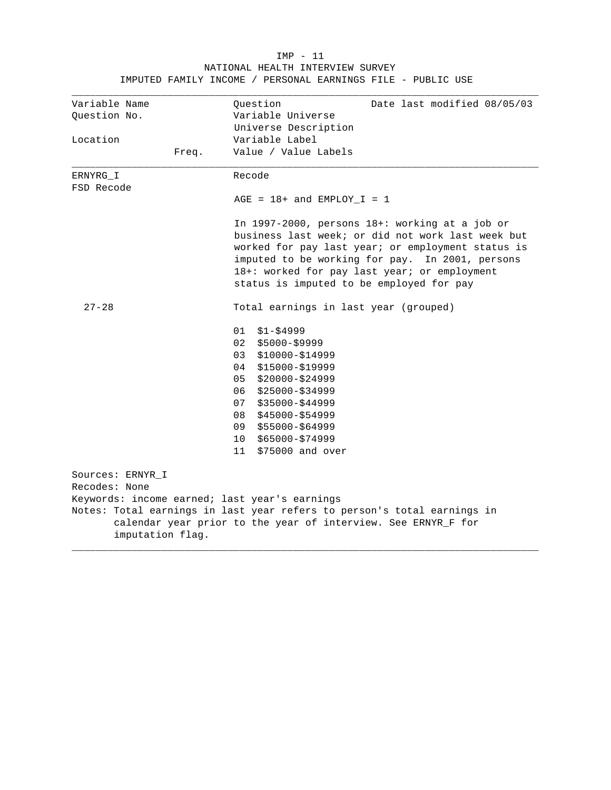| Variable Name                                 | Question<br>Date last modified 08/05/03                                                                                                                                                                                                                                                                 |  |  |  |  |
|-----------------------------------------------|---------------------------------------------------------------------------------------------------------------------------------------------------------------------------------------------------------------------------------------------------------------------------------------------------------|--|--|--|--|
| Ouestion No.                                  | Variable Universe                                                                                                                                                                                                                                                                                       |  |  |  |  |
|                                               | Universe Description                                                                                                                                                                                                                                                                                    |  |  |  |  |
| Location                                      | Variable Label                                                                                                                                                                                                                                                                                          |  |  |  |  |
| Freq.                                         | Value / Value Labels                                                                                                                                                                                                                                                                                    |  |  |  |  |
| ERNYRG I                                      | Recode                                                                                                                                                                                                                                                                                                  |  |  |  |  |
| FSD Recode                                    |                                                                                                                                                                                                                                                                                                         |  |  |  |  |
|                                               | $AGE = 18 + and EMPLOY_I = 1$                                                                                                                                                                                                                                                                           |  |  |  |  |
|                                               | In 1997-2000, persons 18+: working at a job or<br>business last week; or did not work last week but<br>worked for pay last year; or employment status is<br>imputed to be working for pay. In 2001, persons<br>18+: worked for pay last year; or employment<br>status is imputed to be employed for pay |  |  |  |  |
| $27 - 28$                                     | Total earnings in last year (grouped)                                                                                                                                                                                                                                                                   |  |  |  |  |
|                                               | 01<br>$$1 - $4999$                                                                                                                                                                                                                                                                                      |  |  |  |  |
|                                               | 02<br>$$5000-S9999$                                                                                                                                                                                                                                                                                     |  |  |  |  |
|                                               | 03<br>$$10000 - $14999$                                                                                                                                                                                                                                                                                 |  |  |  |  |
|                                               | 04<br>\$15000-\$19999                                                                                                                                                                                                                                                                                   |  |  |  |  |
|                                               | 05<br>$$20000 - $24999$                                                                                                                                                                                                                                                                                 |  |  |  |  |
|                                               | 06<br>$$25000 - $34999$                                                                                                                                                                                                                                                                                 |  |  |  |  |
|                                               | \$35000-\$44999<br>07                                                                                                                                                                                                                                                                                   |  |  |  |  |
|                                               | \$45000-\$54999<br>08                                                                                                                                                                                                                                                                                   |  |  |  |  |
|                                               | 09<br>\$55000-\$64999                                                                                                                                                                                                                                                                                   |  |  |  |  |
|                                               | \$65000-\$74999<br>10                                                                                                                                                                                                                                                                                   |  |  |  |  |
|                                               | \$75000 and over<br>11                                                                                                                                                                                                                                                                                  |  |  |  |  |
| Sources: ERNYR I<br>Recodes: None             |                                                                                                                                                                                                                                                                                                         |  |  |  |  |
| Keywords: income earned; last year's earnings |                                                                                                                                                                                                                                                                                                         |  |  |  |  |
|                                               | Notes: Total earnings in last year refers to person's total earnings in                                                                                                                                                                                                                                 |  |  |  |  |
| imputation flag.                              | calendar year prior to the year of interview. See ERNYR_F for                                                                                                                                                                                                                                           |  |  |  |  |

#### IMP - 11 NATIONAL HEALTH INTERVIEW SURVEY IMPUTED FAMILY INCOME / PERSONAL EARNINGS FILE - PUBLIC USE